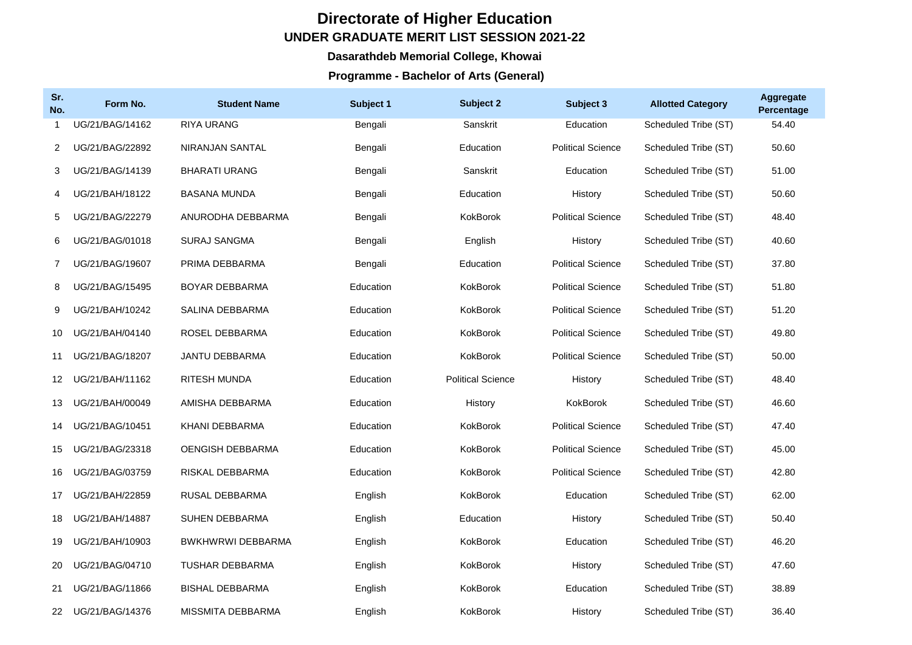## **Directorate of Higher Education UNDER GRADUATE MERIT LIST SESSION 2021-22**

## **Dasarathdeb Memorial College, Khowai**

## **Programme - Bachelor of Arts (General)**

| Sr.<br>No.   | Form No.        | <b>Student Name</b>      | Subject 1 | Subject 2                | Subject 3                | <b>Allotted Category</b> | <b>Aggregate</b><br>Percentage |
|--------------|-----------------|--------------------------|-----------|--------------------------|--------------------------|--------------------------|--------------------------------|
|              | UG/21/BAG/14162 | <b>RIYA URANG</b>        | Bengali   | Sanskrit                 | Education                | Scheduled Tribe (ST)     | 54.40                          |
| 2            | UG/21/BAG/22892 | NIRANJAN SANTAL          | Bengali   | Education                | <b>Political Science</b> | Scheduled Tribe (ST)     | 50.60                          |
| 3            | UG/21/BAG/14139 | <b>BHARATI URANG</b>     | Bengali   | Sanskrit                 | Education                | Scheduled Tribe (ST)     | 51.00                          |
| 4            | UG/21/BAH/18122 | <b>BASANA MUNDA</b>      | Bengali   | Education                | History                  | Scheduled Tribe (ST)     | 50.60                          |
| 5            | UG/21/BAG/22279 | ANURODHA DEBBARMA        | Bengali   | KokBorok                 | <b>Political Science</b> | Scheduled Tribe (ST)     | 48.40                          |
| 6            | UG/21/BAG/01018 | SURAJ SANGMA             | Bengali   | English                  | History                  | Scheduled Tribe (ST)     | 40.60                          |
| $\mathbf{7}$ | UG/21/BAG/19607 | PRIMA DEBBARMA           | Bengali   | Education                | <b>Political Science</b> | Scheduled Tribe (ST)     | 37.80                          |
| 8            | UG/21/BAG/15495 | BOYAR DEBBARMA           | Education | KokBorok                 | <b>Political Science</b> | Scheduled Tribe (ST)     | 51.80                          |
| 9            | UG/21/BAH/10242 | SALINA DEBBARMA          | Education | KokBorok                 | <b>Political Science</b> | Scheduled Tribe (ST)     | 51.20                          |
| 10           | UG/21/BAH/04140 | ROSEL DEBBARMA           | Education | KokBorok                 | <b>Political Science</b> | Scheduled Tribe (ST)     | 49.80                          |
| 11           | UG/21/BAG/18207 | <b>JANTU DEBBARMA</b>    | Education | <b>KokBorok</b>          | <b>Political Science</b> | Scheduled Tribe (ST)     | 50.00                          |
| 12.          | UG/21/BAH/11162 | <b>RITESH MUNDA</b>      | Education | <b>Political Science</b> | History                  | Scheduled Tribe (ST)     | 48.40                          |
| 13           | UG/21/BAH/00049 | AMISHA DEBBARMA          | Education | History                  | KokBorok                 | Scheduled Tribe (ST)     | 46.60                          |
| 14           | UG/21/BAG/10451 | KHANI DEBBARMA           | Education | KokBorok                 | <b>Political Science</b> | Scheduled Tribe (ST)     | 47.40                          |
| 15           | UG/21/BAG/23318 | <b>OENGISH DEBBARMA</b>  | Education | KokBorok                 | <b>Political Science</b> | Scheduled Tribe (ST)     | 45.00                          |
| 16           | UG/21/BAG/03759 | RISKAL DEBBARMA          | Education | <b>KokBorok</b>          | <b>Political Science</b> | Scheduled Tribe (ST)     | 42.80                          |
| 17           | UG/21/BAH/22859 | RUSAL DEBBARMA           | English   | KokBorok                 | Education                | Scheduled Tribe (ST)     | 62.00                          |
| 18           | UG/21/BAH/14887 | SUHEN DEBBARMA           | English   | Education                | History                  | Scheduled Tribe (ST)     | 50.40                          |
| 19           | UG/21/BAH/10903 | <b>BWKHWRWI DEBBARMA</b> | English   | KokBorok                 | Education                | Scheduled Tribe (ST)     | 46.20                          |
| 20           | UG/21/BAG/04710 | <b>TUSHAR DEBBARMA</b>   | English   | KokBorok                 | History                  | Scheduled Tribe (ST)     | 47.60                          |
| 21           | UG/21/BAG/11866 | <b>BISHAL DEBBARMA</b>   | English   | KokBorok                 | Education                | Scheduled Tribe (ST)     | 38.89                          |
| 22           | UG/21/BAG/14376 | MISSMITA DEBBARMA        | English   | KokBorok                 | History                  | Scheduled Tribe (ST)     | 36.40                          |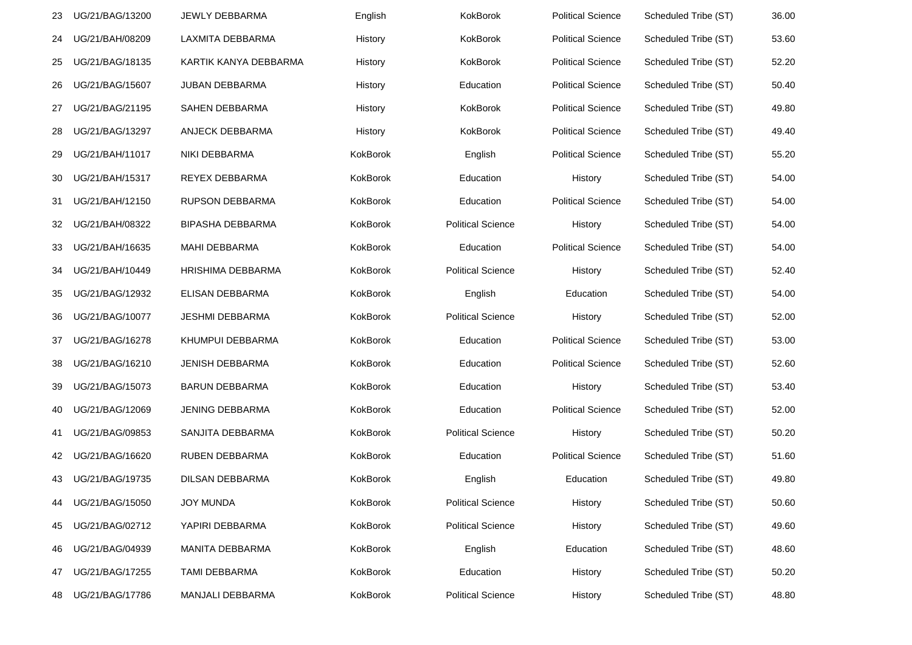| 23 | UG/21/BAG/13200 | JEWLY DEBBARMA          | English  | KokBorok                 | <b>Political Science</b> | Scheduled Tribe (ST) | 36.00 |
|----|-----------------|-------------------------|----------|--------------------------|--------------------------|----------------------|-------|
| 24 | UG/21/BAH/08209 | LAXMITA DEBBARMA        | History  | KokBorok                 | <b>Political Science</b> | Scheduled Tribe (ST) | 53.60 |
| 25 | UG/21/BAG/18135 | KARTIK KANYA DEBBARMA   | History  | KokBorok                 | <b>Political Science</b> | Scheduled Tribe (ST) | 52.20 |
| 26 | UG/21/BAG/15607 | JUBAN DEBBARMA          | History  | Education                | <b>Political Science</b> | Scheduled Tribe (ST) | 50.40 |
| 27 | UG/21/BAG/21195 | SAHEN DEBBARMA          | History  | KokBorok                 | <b>Political Science</b> | Scheduled Tribe (ST) | 49.80 |
| 28 | UG/21/BAG/13297 | ANJECK DEBBARMA         | History  | KokBorok                 | <b>Political Science</b> | Scheduled Tribe (ST) | 49.40 |
| 29 | UG/21/BAH/11017 | NIKI DEBBARMA           | KokBorok | English                  | <b>Political Science</b> | Scheduled Tribe (ST) | 55.20 |
| 30 | UG/21/BAH/15317 | REYEX DEBBARMA          | KokBorok | Education                | History                  | Scheduled Tribe (ST) | 54.00 |
| 31 | UG/21/BAH/12150 | RUPSON DEBBARMA         | KokBorok | Education                | <b>Political Science</b> | Scheduled Tribe (ST) | 54.00 |
| 32 | UG/21/BAH/08322 | <b>BIPASHA DEBBARMA</b> | KokBorok | <b>Political Science</b> | History                  | Scheduled Tribe (ST) | 54.00 |
| 33 | UG/21/BAH/16635 | <b>MAHI DEBBARMA</b>    | KokBorok | Education                | <b>Political Science</b> | Scheduled Tribe (ST) | 54.00 |
| 34 | UG/21/BAH/10449 | HRISHIMA DEBBARMA       | KokBorok | <b>Political Science</b> | History                  | Scheduled Tribe (ST) | 52.40 |
| 35 | UG/21/BAG/12932 | ELISAN DEBBARMA         | KokBorok | English                  | Education                | Scheduled Tribe (ST) | 54.00 |
| 36 | UG/21/BAG/10077 | <b>JESHMI DEBBARMA</b>  | KokBorok | <b>Political Science</b> | History                  | Scheduled Tribe (ST) | 52.00 |
| 37 | UG/21/BAG/16278 | KHUMPUI DEBBARMA        | KokBorok | Education                | <b>Political Science</b> | Scheduled Tribe (ST) | 53.00 |
| 38 | UG/21/BAG/16210 | <b>JENISH DEBBARMA</b>  | KokBorok | Education                | <b>Political Science</b> | Scheduled Tribe (ST) | 52.60 |
| 39 | UG/21/BAG/15073 | <b>BARUN DEBBARMA</b>   | KokBorok | Education                | History                  | Scheduled Tribe (ST) | 53.40 |
| 40 | UG/21/BAG/12069 | <b>JENING DEBBARMA</b>  | KokBorok | Education                | <b>Political Science</b> | Scheduled Tribe (ST) | 52.00 |
| 41 | UG/21/BAG/09853 | SANJITA DEBBARMA        | KokBorok | <b>Political Science</b> | History                  | Scheduled Tribe (ST) | 50.20 |
| 42 | UG/21/BAG/16620 | RUBEN DEBBARMA          | KokBorok | Education                | <b>Political Science</b> | Scheduled Tribe (ST) | 51.60 |
| 43 | UG/21/BAG/19735 | <b>DILSAN DEBBARMA</b>  | KokBorok | English                  | Education                | Scheduled Tribe (ST) | 49.80 |
| 44 | UG/21/BAG/15050 | <b>JOY MUNDA</b>        | KokBorok | <b>Political Science</b> | History                  | Scheduled Tribe (ST) | 50.60 |
| 45 | UG/21/BAG/02712 | YAPIRI DEBBARMA         | KokBorok | <b>Political Science</b> | History                  | Scheduled Tribe (ST) | 49.60 |
| 46 | UG/21/BAG/04939 | <b>MANITA DEBBARMA</b>  | KokBorok | English                  | Education                | Scheduled Tribe (ST) | 48.60 |
| 47 | UG/21/BAG/17255 | TAMI DEBBARMA           | KokBorok | Education                | History                  | Scheduled Tribe (ST) | 50.20 |
| 48 | UG/21/BAG/17786 | MANJALI DEBBARMA        | KokBorok | <b>Political Science</b> | History                  | Scheduled Tribe (ST) | 48.80 |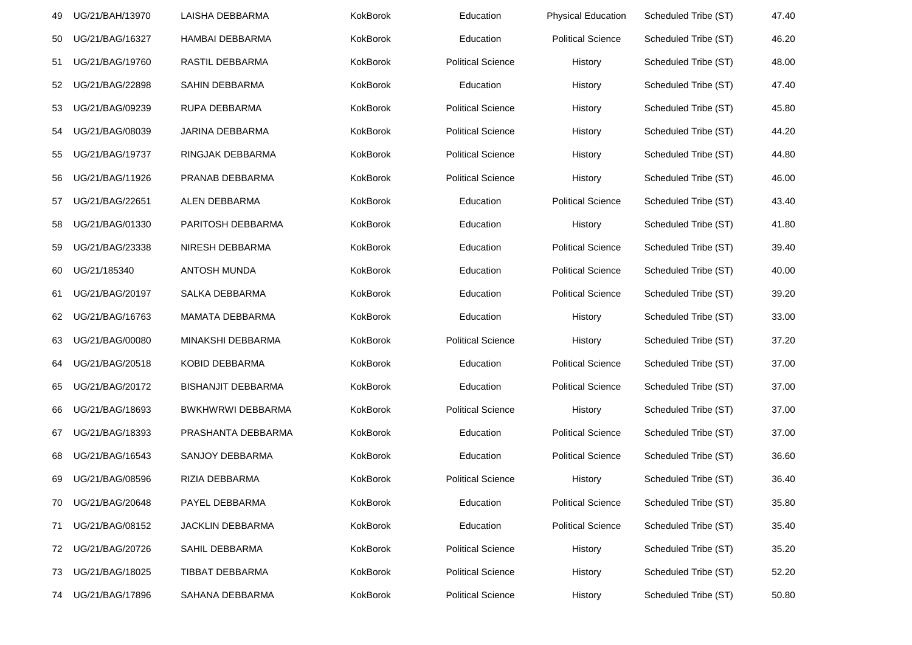| 49 | UG/21/BAH/13970 | LAISHA DEBBARMA           | KokBorok | Education                | <b>Physical Education</b> | Scheduled Tribe (ST) | 47.40 |
|----|-----------------|---------------------------|----------|--------------------------|---------------------------|----------------------|-------|
| 50 | UG/21/BAG/16327 | HAMBAI DEBBARMA           | KokBorok | Education                | <b>Political Science</b>  | Scheduled Tribe (ST) | 46.20 |
| 51 | UG/21/BAG/19760 | RASTIL DEBBARMA           | KokBorok | <b>Political Science</b> | History                   | Scheduled Tribe (ST) | 48.00 |
| 52 | UG/21/BAG/22898 | SAHIN DEBBARMA            | KokBorok | Education                | History                   | Scheduled Tribe (ST) | 47.40 |
| 53 | UG/21/BAG/09239 | RUPA DEBBARMA             | KokBorok | <b>Political Science</b> | History                   | Scheduled Tribe (ST) | 45.80 |
| 54 | UG/21/BAG/08039 | JARINA DEBBARMA           | KokBorok | <b>Political Science</b> | History                   | Scheduled Tribe (ST) | 44.20 |
| 55 | UG/21/BAG/19737 | <b>RINGJAK DEBBARMA</b>   | KokBorok | <b>Political Science</b> | History                   | Scheduled Tribe (ST) | 44.80 |
| 56 | UG/21/BAG/11926 | PRANAB DEBBARMA           | KokBorok | <b>Political Science</b> | History                   | Scheduled Tribe (ST) | 46.00 |
| 57 | UG/21/BAG/22651 | ALEN DEBBARMA             | KokBorok | Education                | <b>Political Science</b>  | Scheduled Tribe (ST) | 43.40 |
| 58 | UG/21/BAG/01330 | PARITOSH DEBBARMA         | KokBorok | Education                | History                   | Scheduled Tribe (ST) | 41.80 |
| 59 | UG/21/BAG/23338 | <b>NIRESH DEBBARMA</b>    | KokBorok | Education                | <b>Political Science</b>  | Scheduled Tribe (ST) | 39.40 |
| 60 | UG/21/185340    | <b>ANTOSH MUNDA</b>       | KokBorok | Education                | <b>Political Science</b>  | Scheduled Tribe (ST) | 40.00 |
| 61 | UG/21/BAG/20197 | SALKA DEBBARMA            | KokBorok | Education                | <b>Political Science</b>  | Scheduled Tribe (ST) | 39.20 |
| 62 | UG/21/BAG/16763 | MAMATA DEBBARMA           | KokBorok | Education                | History                   | Scheduled Tribe (ST) | 33.00 |
| 63 | UG/21/BAG/00080 | MINAKSHI DEBBARMA         | KokBorok | <b>Political Science</b> | History                   | Scheduled Tribe (ST) | 37.20 |
| 64 | UG/21/BAG/20518 | KOBID DEBBARMA            | KokBorok | Education                | <b>Political Science</b>  | Scheduled Tribe (ST) | 37.00 |
| 65 | UG/21/BAG/20172 | <b>BISHANJIT DEBBARMA</b> | KokBorok | Education                | <b>Political Science</b>  | Scheduled Tribe (ST) | 37.00 |
| 66 | UG/21/BAG/18693 | BWKHWRWI DEBBARMA         | KokBorok | <b>Political Science</b> | History                   | Scheduled Tribe (ST) | 37.00 |
| 67 | UG/21/BAG/18393 | PRASHANTA DEBBARMA        | KokBorok | Education                | <b>Political Science</b>  | Scheduled Tribe (ST) | 37.00 |
| 68 | UG/21/BAG/16543 | SANJOY DEBBARMA           | KokBorok | Education                | <b>Political Science</b>  | Scheduled Tribe (ST) | 36.60 |
| 69 | UG/21/BAG/08596 | RIZIA DEBBARMA            | KokBorok | <b>Political Science</b> | History                   | Scheduled Tribe (ST) | 36.40 |
| 70 | UG/21/BAG/20648 | PAYEL DEBBARMA            | KokBorok | Education                | <b>Political Science</b>  | Scheduled Tribe (ST) | 35.80 |
| 71 | UG/21/BAG/08152 | JACKLIN DEBBARMA          | KokBorok | Education                | <b>Political Science</b>  | Scheduled Tribe (ST) | 35.40 |
| 72 | UG/21/BAG/20726 | SAHIL DEBBARMA            | KokBorok | <b>Political Science</b> | History                   | Scheduled Tribe (ST) | 35.20 |
| 73 | UG/21/BAG/18025 | TIBBAT DEBBARMA           | KokBorok | <b>Political Science</b> | History                   | Scheduled Tribe (ST) | 52.20 |
| 74 | UG/21/BAG/17896 | SAHANA DEBBARMA           | KokBorok | <b>Political Science</b> | History                   | Scheduled Tribe (ST) | 50.80 |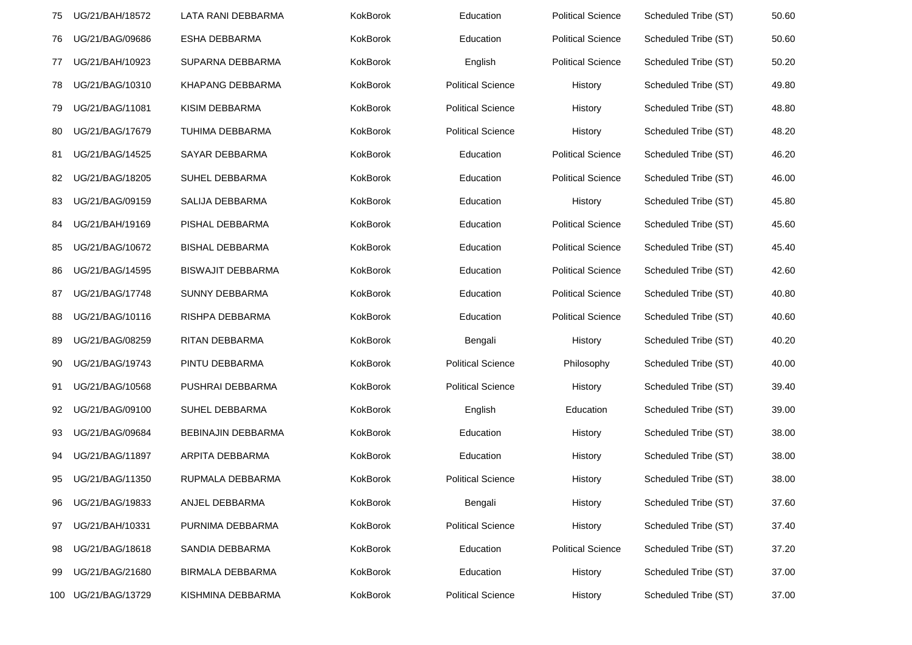| 75 | UG/21/BAH/18572     | LATA RANI DEBBARMA       | KokBorok        | Education                | <b>Political Science</b> | Scheduled Tribe (ST) | 50.60 |
|----|---------------------|--------------------------|-----------------|--------------------------|--------------------------|----------------------|-------|
| 76 | UG/21/BAG/09686     | ESHA DEBBARMA            | KokBorok        | Education                | <b>Political Science</b> | Scheduled Tribe (ST) | 50.60 |
| 77 | UG/21/BAH/10923     | SUPARNA DEBBARMA         | KokBorok        | English                  | <b>Political Science</b> | Scheduled Tribe (ST) | 50.20 |
| 78 | UG/21/BAG/10310     | <b>KHAPANG DEBBARMA</b>  | KokBorok        | <b>Political Science</b> | History                  | Scheduled Tribe (ST) | 49.80 |
| 79 | UG/21/BAG/11081     | KISIM DEBBARMA           | KokBorok        | <b>Political Science</b> | History                  | Scheduled Tribe (ST) | 48.80 |
| 80 | UG/21/BAG/17679     | TUHIMA DEBBARMA          | <b>KokBorok</b> | <b>Political Science</b> | History                  | Scheduled Tribe (ST) | 48.20 |
| 81 | UG/21/BAG/14525     | SAYAR DEBBARMA           | KokBorok        | Education                | <b>Political Science</b> | Scheduled Tribe (ST) | 46.20 |
| 82 | UG/21/BAG/18205     | SUHEL DEBBARMA           | KokBorok        | Education                | <b>Political Science</b> | Scheduled Tribe (ST) | 46.00 |
| 83 | UG/21/BAG/09159     | SALIJA DEBBARMA          | KokBorok        | Education                | History                  | Scheduled Tribe (ST) | 45.80 |
| 84 | UG/21/BAH/19169     | PISHAL DEBBARMA          | KokBorok        | Education                | <b>Political Science</b> | Scheduled Tribe (ST) | 45.60 |
| 85 | UG/21/BAG/10672     | <b>BISHAL DEBBARMA</b>   | KokBorok        | Education                | <b>Political Science</b> | Scheduled Tribe (ST) | 45.40 |
| 86 | UG/21/BAG/14595     | <b>BISWAJIT DEBBARMA</b> | KokBorok        | Education                | <b>Political Science</b> | Scheduled Tribe (ST) | 42.60 |
| 87 | UG/21/BAG/17748     | SUNNY DEBBARMA           | KokBorok        | Education                | <b>Political Science</b> | Scheduled Tribe (ST) | 40.80 |
| 88 | UG/21/BAG/10116     | RISHPA DEBBARMA          | KokBorok        | Education                | <b>Political Science</b> | Scheduled Tribe (ST) | 40.60 |
| 89 | UG/21/BAG/08259     | RITAN DEBBARMA           | KokBorok        | Bengali                  | History                  | Scheduled Tribe (ST) | 40.20 |
| 90 | UG/21/BAG/19743     | PINTU DEBBARMA           | KokBorok        | <b>Political Science</b> | Philosophy               | Scheduled Tribe (ST) | 40.00 |
| 91 | UG/21/BAG/10568     | PUSHRAI DEBBARMA         | KokBorok        | <b>Political Science</b> | History                  | Scheduled Tribe (ST) | 39.40 |
| 92 | UG/21/BAG/09100     | SUHEL DEBBARMA           | KokBorok        | English                  | Education                | Scheduled Tribe (ST) | 39.00 |
| 93 | UG/21/BAG/09684     | BEBINAJIN DEBBARMA       | KokBorok        | Education                | History                  | Scheduled Tribe (ST) | 38.00 |
| 94 | UG/21/BAG/11897     | ARPITA DEBBARMA          | KokBorok        | Education                | History                  | Scheduled Tribe (ST) | 38.00 |
| 95 | UG/21/BAG/11350     | RUPMALA DEBBARMA         | KokBorok        | <b>Political Science</b> | History                  | Scheduled Tribe (ST) | 38.00 |
| 96 | UG/21/BAG/19833     | ANJEL DEBBARMA           | KokBorok        | Bengali                  | History                  | Scheduled Tribe (ST) | 37.60 |
| 97 | UG/21/BAH/10331     | PURNIMA DEBBARMA         | KokBorok        | <b>Political Science</b> | History                  | Scheduled Tribe (ST) | 37.40 |
| 98 | UG/21/BAG/18618     | SANDIA DEBBARMA          | KokBorok        | Education                | <b>Political Science</b> | Scheduled Tribe (ST) | 37.20 |
| 99 | UG/21/BAG/21680     | <b>BIRMALA DEBBARMA</b>  | KokBorok        | Education                | History                  | Scheduled Tribe (ST) | 37.00 |
|    | 100 UG/21/BAG/13729 | KISHMINA DEBBARMA        | KokBorok        | <b>Political Science</b> | History                  | Scheduled Tribe (ST) | 37.00 |